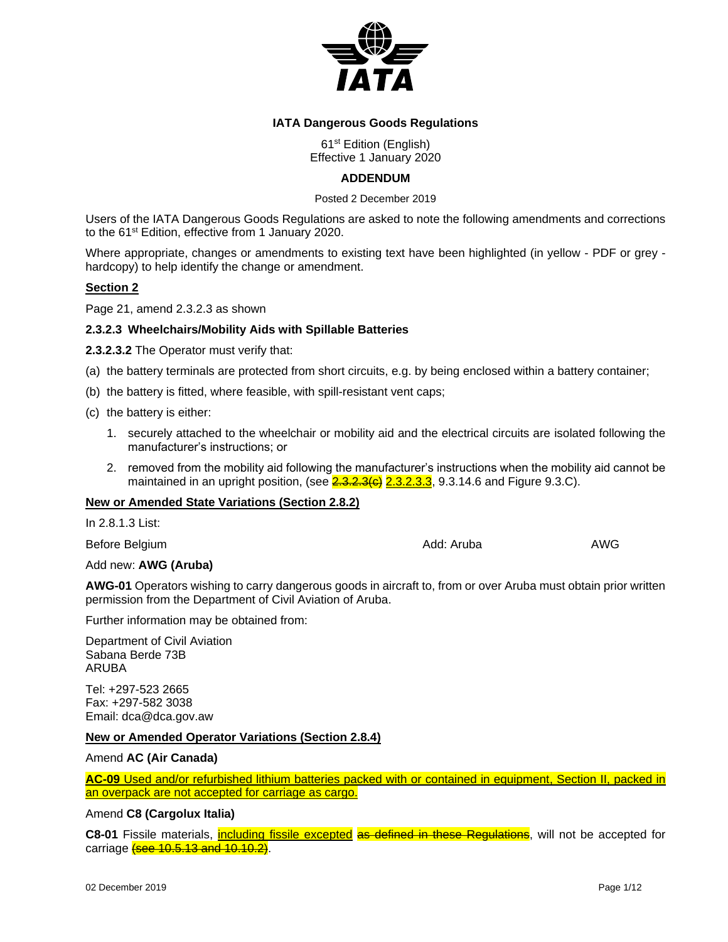

## **IATA Dangerous Goods Regulations**

61st Edition (English) Effective 1 January 2020

## **ADDENDUM**

Posted 2 December 2019

Users of the IATA Dangerous Goods Regulations are asked to note the following amendments and corrections to the 61<sup>st</sup> Edition, effective from 1 January 2020.

Where appropriate, changes or amendments to existing text have been highlighted (in yellow - PDF or grey hardcopy) to help identify the change or amendment.

## **Section 2**

Page 21, amend 2.3.2.3 as shown

## **2.3.2.3 Wheelchairs/Mobility Aids with Spillable Batteries**

**2.3.2.3.2** The Operator must verify that:

- (a) the battery terminals are protected from short circuits, e.g. by being enclosed within a battery container;
- (b) the battery is fitted, where feasible, with spill-resistant vent caps;
- (c) the battery is either:
	- 1. securely attached to the wheelchair or mobility aid and the electrical circuits are isolated following the manufacturer's instructions; or
	- 2. removed from the mobility aid following the manufacturer's instructions when the mobility aid cannot be maintained in an upright position, (see  $2.3.2.3(6)$   $2.3.2.3.3$ , 9.3.14.6 and Figure 9.3.C).

## **New or Amended State Variations (Section 2.8.2)**

| In 2.8.1.3 List:     |            |     |
|----------------------|------------|-----|
| Before Belgium       | Add: Aruba | AWG |
| Add new: AWG (Aruba) |            |     |

**AWG-01** Operators wishing to carry dangerous goods in aircraft to, from or over Aruba must obtain prior written permission from the Department of Civil Aviation of Aruba.

Further information may be obtained from:

Department of Civil Aviation Sabana Berde 73B ARUBA

Tel: +297-523 2665 Fax: +297-582 3038 Email: dca@dca.gov.aw

#### **New or Amended Operator Variations (Section 2.8.4)**

Amend **AC (Air Canada)**

**AC-09** Used and/or refurbished lithium batteries packed with or contained in equipment, Section II, packed in an overpack are not accepted for carriage as cargo.

Amend **C8 (Cargolux Italia)**

C8-01 Fissile materials, including fissile excepted as defined in these Regulations, will not be accepted for carriage (see 10.5.13 and 10.10.2)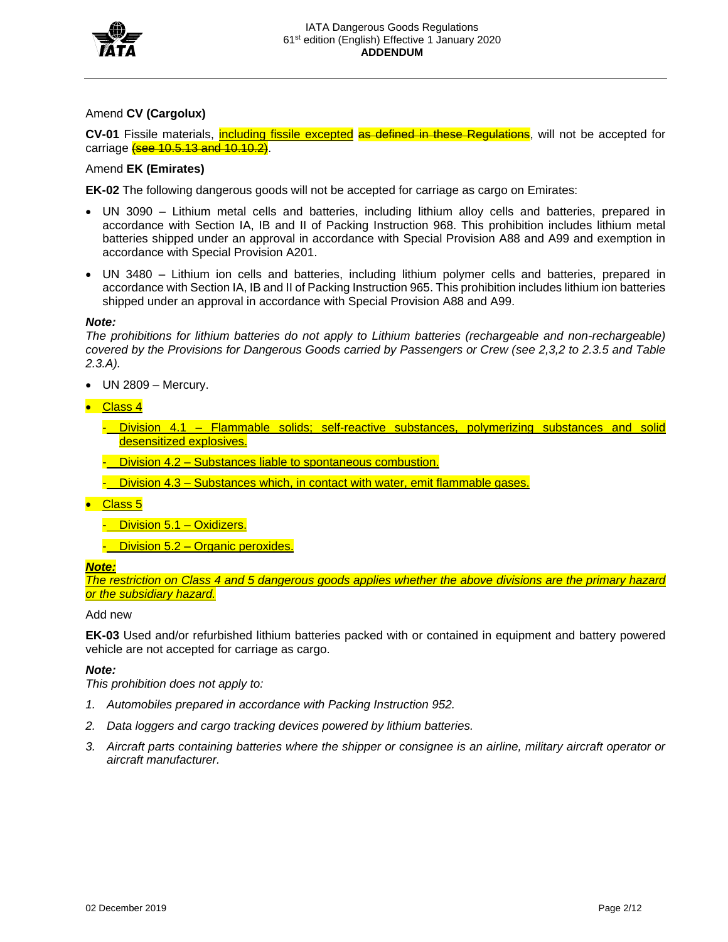

## Amend **CV (Cargolux)**

**CV-01** Fissile materials, including fissile excepted as defined in these Regulations, will not be accepted for carriage **(see 10.5.13 and 10.10.2)**.

### Amend **EK (Emirates)**

**EK-02** The following dangerous goods will not be accepted for carriage as cargo on Emirates:

- UN 3090 Lithium metal cells and batteries, including lithium alloy cells and batteries, prepared in accordance with Section IA, IB and II of Packing Instruction 968. This prohibition includes lithium metal batteries shipped under an approval in accordance with Special Provision A88 and A99 and exemption in accordance with Special Provision A201.
- UN 3480 Lithium ion cells and batteries, including lithium polymer cells and batteries, prepared in accordance with Section IA, IB and II of Packing Instruction 965. This prohibition includes lithium ion batteries shipped under an approval in accordance with Special Provision A88 and A99.

### *Note:*

*The prohibitions for lithium batteries do not apply to Lithium batteries (rechargeable and non-rechargeable) covered by the Provisions for Dangerous Goods carried by Passengers or Crew (see 2,3,2 to 2.3.5 and Table 2.3.A).*

- UN 2809 Mercury.
- Class 4
	- Division 4.1 Flammable solids; self-reactive substances, polymerizing substances and solid desensitized explosives.
	- Division 4.2 Substances liable to spontaneous combustion.
	- $-$  Division 4.3 Substances which, in contact with water, emit flammable gases.
- Class 5
	- Division 5.1 Oxidizers.
	- Division 5.2 Organic peroxides.

#### *Note:*

*The restriction on Class 4 and 5 dangerous goods applies whether the above divisions are the primary hazard or the subsidiary hazard.*

#### Add new

**EK-03** Used and/or refurbished lithium batteries packed with or contained in equipment and battery powered vehicle are not accepted for carriage as cargo.

#### *Note:*

*This prohibition does not apply to:*

- *1. Automobiles prepared in accordance with Packing Instruction 952.*
- *2. Data loggers and cargo tracking devices powered by lithium batteries.*
- *3. Aircraft parts containing batteries where the shipper or consignee is an airline, military aircraft operator or aircraft manufacturer.*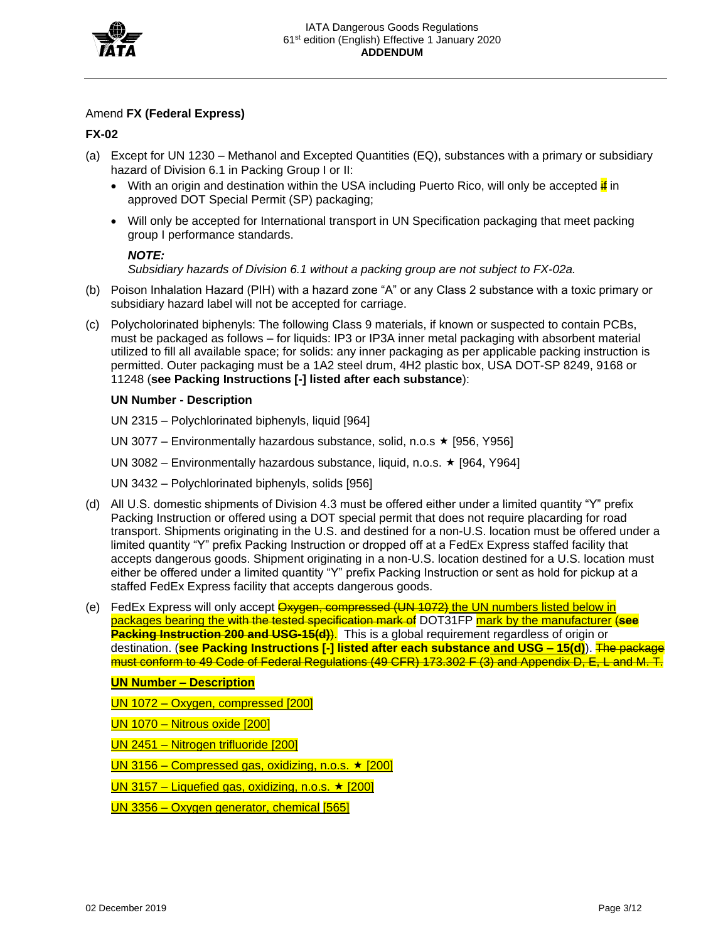

## Amend **FX (Federal Express)**

**FX-02**

- (a) Except for UN 1230 Methanol and Excepted Quantities (EQ), substances with a primary or subsidiary hazard of Division 6.1 in Packing Group I or II:
	- With an origin and destination within the USA including Puerto Rico, will only be accepted  $\frac{1}{16}$  in approved DOT Special Permit (SP) packaging;
	- Will only be accepted for International transport in UN Specification packaging that meet packing group I performance standards.

## *NOTE:*

*Subsidiary hazards of Division 6.1 without a packing group are not subject to FX-02a.*

- (b) Poison Inhalation Hazard (PIH) with a hazard zone "A" or any Class 2 substance with a toxic primary or subsidiary hazard label will not be accepted for carriage.
- (c) Polycholorinated biphenyls: The following Class 9 materials, if known or suspected to contain PCBs, must be packaged as follows – for liquids: IP3 or IP3A inner metal packaging with absorbent material utilized to fill all available space; for solids: any inner packaging as per applicable packing instruction is permitted. Outer packaging must be a 1A2 steel drum, 4H2 plastic box, USA DOT-SP 8249, 9168 or 11248 (**see Packing Instructions [-] listed after each substance**):

## **UN Number - Description**

UN 2315 – Polychlorinated biphenyls, liquid [964]

UN 3077 – Environmentally hazardous substance, solid, n.o.s  $\star$  [956, Y956]

UN 3082 – Environmentally hazardous substance, liquid, n.o.s.  $\star$  [964, Y964]

UN 3432 – Polychlorinated biphenyls, solids [956]

- (d) All U.S. domestic shipments of Division 4.3 must be offered either under a limited quantity "Y" prefix Packing Instruction or offered using a DOT special permit that does not require placarding for road transport. Shipments originating in the U.S. and destined for a non-U.S. location must be offered under a limited quantity "Y" prefix Packing Instruction or dropped off at a FedEx Express staffed facility that accepts dangerous goods. Shipment originating in a non-U.S. location destined for a U.S. location must either be offered under a limited quantity "Y" prefix Packing Instruction or sent as hold for pickup at a staffed FedEx Express facility that accepts dangerous goods.
- (e) FedEx Express will only accept Oxygen, compressed (UN 1072) the UN numbers listed below in packages bearing the with the tested specification mark of DOT31FP mark by the manufacturer (**see Packing Instruction 200 and USG-15(d)**). This is a global requirement regardless of origin or destination. (**see Packing Instructions [-] listed after each substance and USG – 15(d)**). The package must conform to 49 Code of Federal Regulations (49 CFR) 173.302 F (3) and Appendix D, E, L and M. T.

## **UN Number – Description**

UN 1072 – Oxygen, compressed [200]

UN 1070 – Nitrous oxide [200]

UN 2451 – Nitrogen trifluoride [200]

UN 3156 – Compressed gas, oxidizing, n.o.s.  $\star$  [200]

UN 3157 – Liquefied gas, oxidizing, n.o.s.  $\star$  [200]

UN 3356 – Oxygen generator, chemical [565]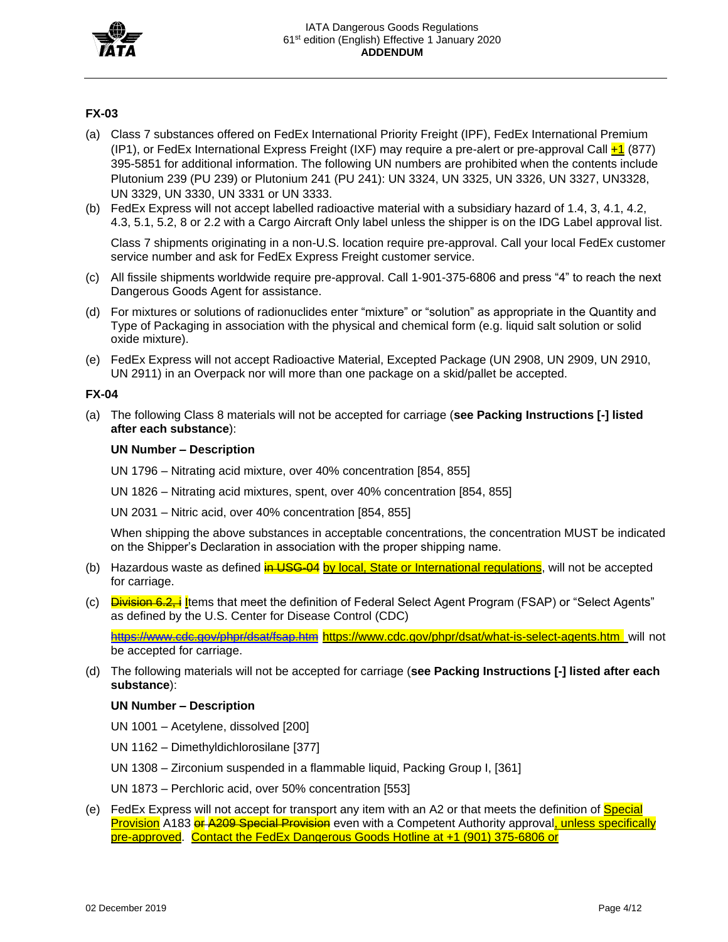

## **FX-03**

- (a) Class 7 substances offered on FedEx International Priority Freight (IPF), FedEx International Premium (IP1), or FedEx International Express Freight (IXF) may require a pre-alert or pre-approval Call  $\pm 1$  (877) 395-5851 for additional information. The following UN numbers are prohibited when the contents include Plutonium 239 (PU 239) or Plutonium 241 (PU 241): UN 3324, UN 3325, UN 3326, UN 3327, UN3328, UN 3329, UN 3330, UN 3331 or UN 3333.
- (b) FedEx Express will not accept labelled radioactive material with a subsidiary hazard of 1.4, 3, 4.1, 4.2, 4.3, 5.1, 5.2, 8 or 2.2 with a Cargo Aircraft Only label unless the shipper is on the IDG Label approval list.

Class 7 shipments originating in a non-U.S. location require pre-approval. Call your local FedEx customer service number and ask for FedEx Express Freight customer service.

- (c) All fissile shipments worldwide require pre-approval. Call 1-901-375-6806 and press "4" to reach the next Dangerous Goods Agent for assistance.
- (d) For mixtures or solutions of radionuclides enter "mixture" or "solution" as appropriate in the Quantity and Type of Packaging in association with the physical and chemical form (e.g. liquid salt solution or solid oxide mixture).
- (e) FedEx Express will not accept Radioactive Material, Excepted Package (UN 2908, UN 2909, UN 2910, UN 2911) in an Overpack nor will more than one package on a skid/pallet be accepted.

#### **FX-04**

(a) The following Class 8 materials will not be accepted for carriage (**see Packing Instructions [-] listed after each substance**):

### **UN Number – Description**

UN 1796 – Nitrating acid mixture, over 40% concentration [854, 855]

UN 1826 – Nitrating acid mixtures, spent, over 40% concentration [854, 855]

UN 2031 – Nitric acid, over 40% concentration [854, 855]

When shipping the above substances in acceptable concentrations, the concentration MUST be indicated on the Shipper's Declaration in association with the proper shipping name.

- (b) Hazardous waste as defined  $\frac{in \text{USG}-04}{in \text{USG}-04}$  by local, State or International regulations, will not be accepted for carriage.
- (c) Division 6.2, i Items that meet the definition of Federal Select Agent Program (FSAP) or "Select Agents" as defined by the U.S. Center for Disease Control (CDC)

https://www.ede.gov/phpr/dsat/fsap.htm https:[//www.cdc.gov/phpr/dsat/what-is-select-agents.htm](http://www.cdc.gov/phpr/dsat/what-is-select-agents.htm) will not be accepted for carriage.

(d) The following materials will not be accepted for carriage (**see Packing Instructions [-] listed after each substance**):

## **UN Number – Description**

- UN 1001 Acetylene, dissolved [200]
- UN 1162 Dimethyldichlorosilane [377]
- UN 1308 Zirconium suspended in a flammable liquid, Packing Group I, [361]

UN 1873 – Perchloric acid, over 50% concentration [553]

(e) FedEx Express will not accept for transport any item with an A2 or that meets the definition of **Special** Provision A183 or A209 Special Provision even with a Competent Authority approval, unless specifically pre-approved. Contact the FedEx Dangerous Goods Hotline at +1 (901) 375-6806 or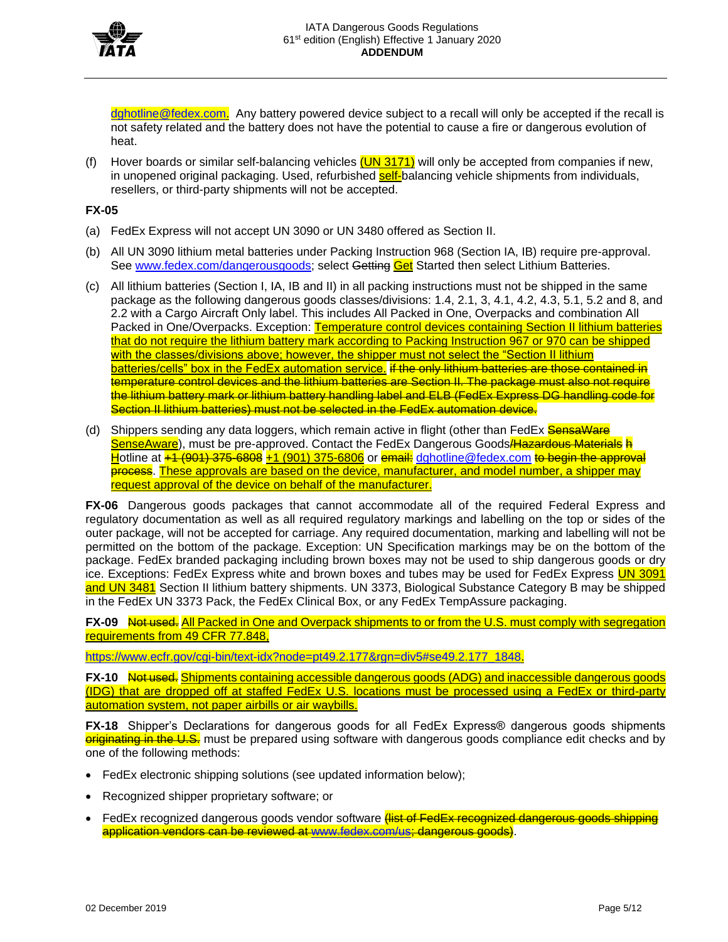

[dghotline@fedex.com.](mailto:dghotline@fedex.com) Any battery powered device subject to a recall will only be accepted if the recall is not safety related and the battery does not have the potential to cause a fire or dangerous evolution of heat.

(f) Hover boards or similar self-balancing vehicles  $(UN 3171)$  will only be accepted from companies if new, in unopened original packaging. Used, refurbished **self-**balancing vehicle shipments from individuals, resellers, or third-party shipments will not be accepted.

## **FX-05**

- (a) FedEx Express will not accept UN 3090 or UN 3480 offered as Section II.
- (b) All UN 3090 lithium metal batteries under Packing Instruction 968 (Section IA, IB) require pre-approval. See [www.fedex.com/dangerousgoods;](http://www.fedex.com/dangerousgoods) select Getting Get Started then select Lithium Batteries.
- (c) All lithium batteries (Section I, IA, IB and II) in all packing instructions must not be shipped in the same package as the following dangerous goods classes/divisions: 1.4, 2.1, 3, 4.1, 4.2, 4.3, 5.1, 5.2 and 8, and 2.2 with a Cargo Aircraft Only label. This includes All Packed in One, Overpacks and combination All Packed in One/Overpacks. Exception: Temperature control devices containing Section II lithium batteries that do not require the lithium battery mark according to Packing Instruction 967 or 970 can be shipped with the classes/divisions above; however, the shipper must not select the "Section II lithium batteries/cells" box in the FedEx automation service. if the only lithium batteries are those contained in temperature control devices and the lithium batteries are Section II. The package must also not require the lithium battery mark or lithium battery handling label and ELB (FedEx Express DG handling code for Section II lithium batteries) must not be selected in the FedEx automation device.
- (d) Shippers sending any data loggers, which remain active in flight (other than FedEx SensaWare SenseAware), must be pre-approved. Contact the FedEx Dangerous Goods Hazardous Materials h Hotline at +1 (901) 375-6808 +1 (901) 375-6806 or email: [dghotline@fedex.com](mailto:dghotline@fedex.com) to begin the approval process. These approvals are based on the device, manufacturer, and model number, a shipper may request approval of the device on behalf of the manufacturer.

**FX-06** Dangerous goods packages that cannot accommodate all of the required Federal Express and regulatory documentation as well as all required regulatory markings and labelling on the top or sides of the outer package, will not be accepted for carriage. Any required documentation, marking and labelling will not be permitted on the bottom of the package. Exception: UN Specification markings may be on the bottom of the package. FedEx branded packaging including brown boxes may not be used to ship dangerous goods or dry ice. Exceptions: FedEx Express white and brown boxes and tubes may be used for FedEx Express UN 3091 and UN 3481 Section II lithium battery shipments. UN 3373, Biological Substance Category B may be shipped in the FedEx UN 3373 Pack, the FedEx Clinical Box, or any FedEx TempAssure packaging.

**FX-09** Not used. All Packed in One and Overpack shipments to or from the U.S. must comply with segregation requirements from 49 CFR 77.848,

[https://www.ecfr.gov/cgi-bin/text-idx?node=pt49.2.177&rgn=div5#se49.2.177\\_1848.](https://www.ecfr.gov/cgi-bin/text-idx?node=pt49.2.177&rgn=div5&se49.2.177_1848)

**FX-10** Not used. Shipments containing accessible dangerous goods (ADG) and inaccessible dangerous goods (IDG) that are dropped off at staffed FedEx U.S. locations must be processed using a FedEx or third-party automation system, not paper airbills or air waybills.

**FX-18** Shipper's Declarations for dangerous goods for all FedEx Express® dangerous goods shipments originating in the U.S. must be prepared using software with dangerous goods compliance edit checks and by one of the following methods:

- FedEx electronic shipping solutions (see updated information below);
- Recognized shipper proprietary software; or
- FedEx recognized dangerous goods vendor software *(list of FedEx recognized dangerous goods shipping* application vendors can be reviewed at [www.fedex.com/us;](http://www.fedex.com/us) dangerous goods).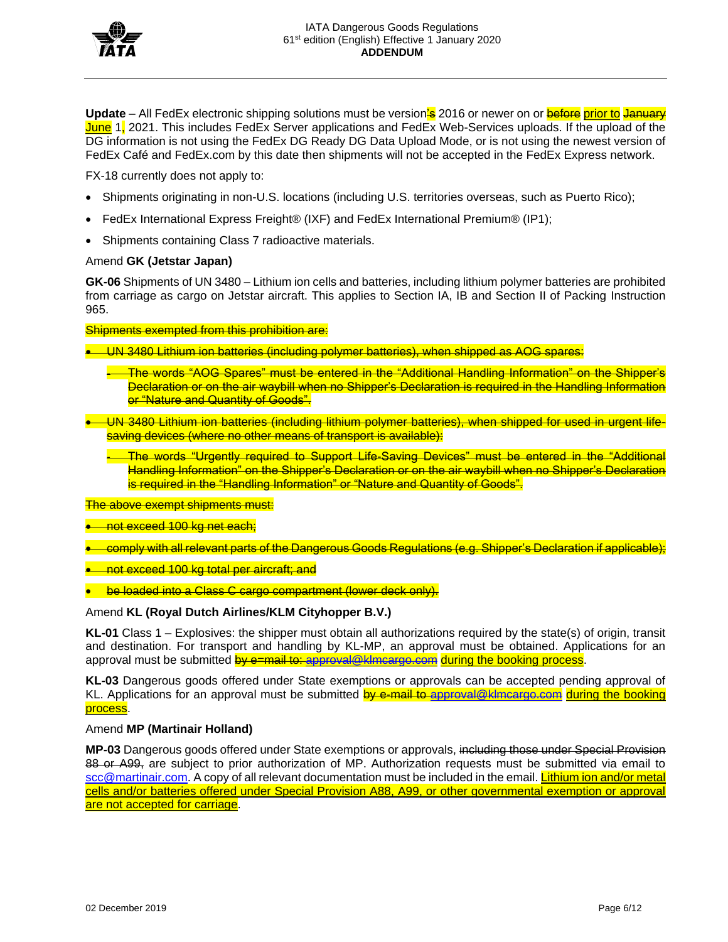

**Update** – All FedEx electronic shipping solutions must be version's 2016 or newer on or before prior to January June 1, 2021. This includes FedEx Server applications and FedEx Web-Services uploads. If the upload of the DG information is not using the FedEx DG Ready DG Data Upload Mode, or is not using the newest version of FedEx Café and FedEx.com by this date then shipments will not be accepted in the FedEx Express network.

FX-18 currently does not apply to:

- Shipments originating in non-U.S. locations (including U.S. territories overseas, such as Puerto Rico);
- FedEx International Express Freight® (IXF) and FedEx International Premium® (IP1);
- Shipments containing Class 7 radioactive materials.

## Amend **GK (Jetstar Japan)**

**GK-06** Shipments of UN 3480 – Lithium ion cells and batteries, including lithium polymer batteries are prohibited from carriage as cargo on Jetstar aircraft. This applies to Section IA, IB and Section II of Packing Instruction 965.

Shipments exempted from this prohibition are:

- UN 3480 Lithium ion batteries (including polymer batteries), when shipped as AOG spares:
	- The words "AOG Spares" must be entered in the "Additional Handling Information" on the Shipper's Declaration or on the air waybill when no Shipper's Declaration is required in the Handling Information or "Nature and Quantity of Goods".
	- UN 3480 Lithium ion batteries (including lithium polymer batteries), when shipped for used in urgent lifesaving devices (where no other means of transport is available):

- The words "Urgently required to Support Life-Saving Devices" must be entered in the "Additional Handling Information" on the Shipper's Declaration or on the air waybill when no Shipper's Declaration is required in the "Handling Information" or "Nature and Quantity of Goods".

The above exempt shipments must:

- not exceed 100 kg net each;
- comply with all relevant parts of the Dangerous Goods Regulations (e.g. Shipper's Declaration if applicable);
- not exceed 100 kg total per aircraft; and
- be loaded into a Class C cargo compartment (lower deck only).

## Amend **KL (Royal Dutch Airlines/KLM Cityhopper B.V.)**

**KL-01** Class 1 – Explosives: the shipper must obtain all authorizations required by the state(s) of origin, transit and destination. For transport and handling by KL-MP, an approval must be obtained. Applications for an approval must be submitted by e=mail to: [approval@klmcargo.com](mailto:approval@klmcargo.com) during the booking process.

**KL-03** Dangerous goods offered under State exemptions or approvals can be accepted pending approval of KL. Applications for an approval must be submitted by e-mail to [approval@klmcargo.com](mailto:approval@klmcargo.com) during the booking process.

## Amend **MP (Martinair Holland)**

**MP-03** Dangerous goods offered under State exemptions or approvals, including those under Special Provision 88 or A99, are subject to prior authorization of MP. Authorization requests must be submitted via email to [scc@martinair.com.](mailto:scc@martinair.com) A copy of all relevant documentation must be included in the email. Lithium ion and/or metal cells and/or batteries offered under Special Provision A88, A99, or other governmental exemption or approval are not accepted for carriage.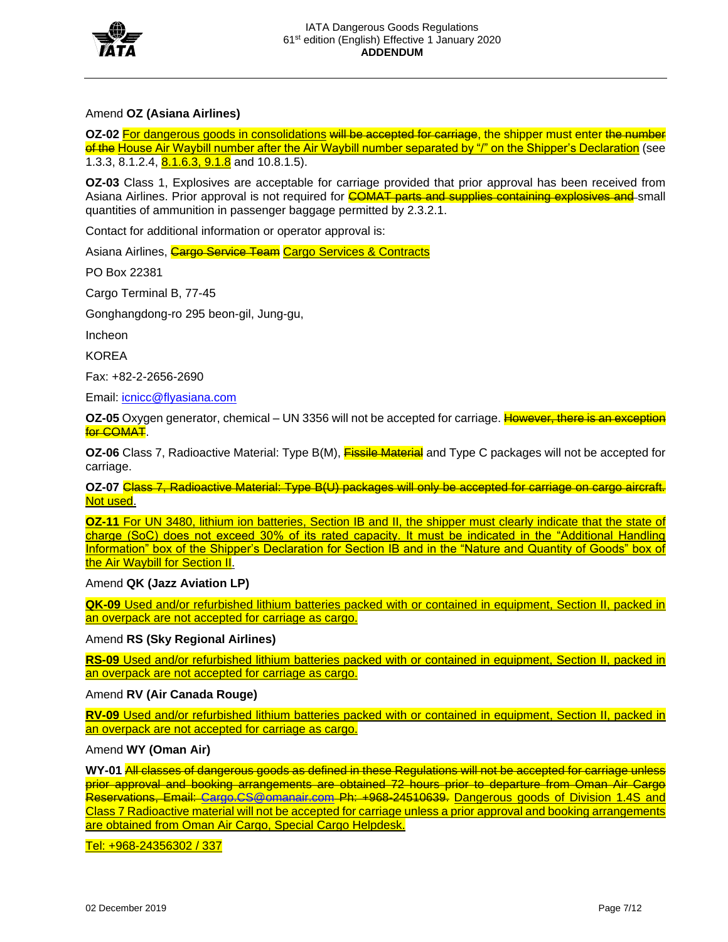

## Amend **OZ (Asiana Airlines)**

**OZ-02 For dangerous goods in consolidations will be accepted for carriage, the shipper must enter the number** of the House Air Waybill number after the Air Waybill number separated by "/" on the Shipper's Declaration (see 1.3.3, 8.1.2.4, **8.1.6.3, 9.1.8** and 10.8.1.5).

**OZ-03** Class 1, Explosives are acceptable for carriage provided that prior approval has been received from Asiana Airlines. Prior approval is not required for **COMAT parts and supplies containing explosives and** small quantities of ammunition in passenger baggage permitted by 2.3.2.1.

Contact for additional information or operator approval is:

Asiana Airlines, Cargo Service Team Cargo Services & Contracts

PO Box 22381

Cargo Terminal B, 77-45

Gonghangdong-ro 295 beon-gil, Jung-gu,

Incheon

KOREA

Fax: +82-2-2656-2690

Email: [icnicc@flyasiana.com](mailto:icnicc@flyasiana.com)

**OZ-05** Oxygen generator, chemical – UN 3356 will not be accepted for carriage. However, there is an exception for COMA<sub>T</sub>.

**OZ-06** Class 7, Radioactive Material: Type B(M), **Fissile Material** and Type C packages will not be accepted for carriage.

**OZ-07** Class 7, Radioactive Material: Type B(U) packages will only be accepted for carriage on cargo aircraft. Not used.

**OZ-11** For UN 3480, lithium ion batteries, Section IB and II, the shipper must clearly indicate that the state of charge (SoC) does not exceed 30% of its rated capacity. It must be indicated in the "Additional Handling Information" box of the Shipper's Declaration for Section IB and in the "Nature and Quantity of Goods" box of the Air Waybill for Section II.

Amend **QK (Jazz Aviation LP)**

**QK-09** Used and/or refurbished lithium batteries packed with or contained in equipment, Section II, packed in an overpack are not accepted for carriage as cargo.

Amend **RS (Sky Regional Airlines)**

**RS-09** Used and/or refurbished lithium batteries packed with or contained in equipment, Section II, packed in an overpack are not accepted for carriage as cargo.

Amend **RV (Air Canada Rouge)**

**RV-09** Used and/or refurbished lithium batteries packed with or contained in equipment, Section II, packed in an overpack are not accepted for carriage as cargo.

Amend **WY (Oman Air)**

**WY-01** All classes of dangerous goods as defined in these Regulations will not be accepted for carriage unless prior approval and booking arrangements are obtained 72 hours prior to departure from Oman Air Cargo Reservations, Email: [Cargo.CS@omanair.com](mailto:Cargo.CS@omanair.com) Ph: +968-24510639. Dangerous goods of Division 1.4S and Class 7 Radioactive material will not be accepted for carriage unless a prior approval and booking arrangements are obtained from Oman Air Cargo, Special Cargo Helpdesk.

Tel: +968-24356302 / 337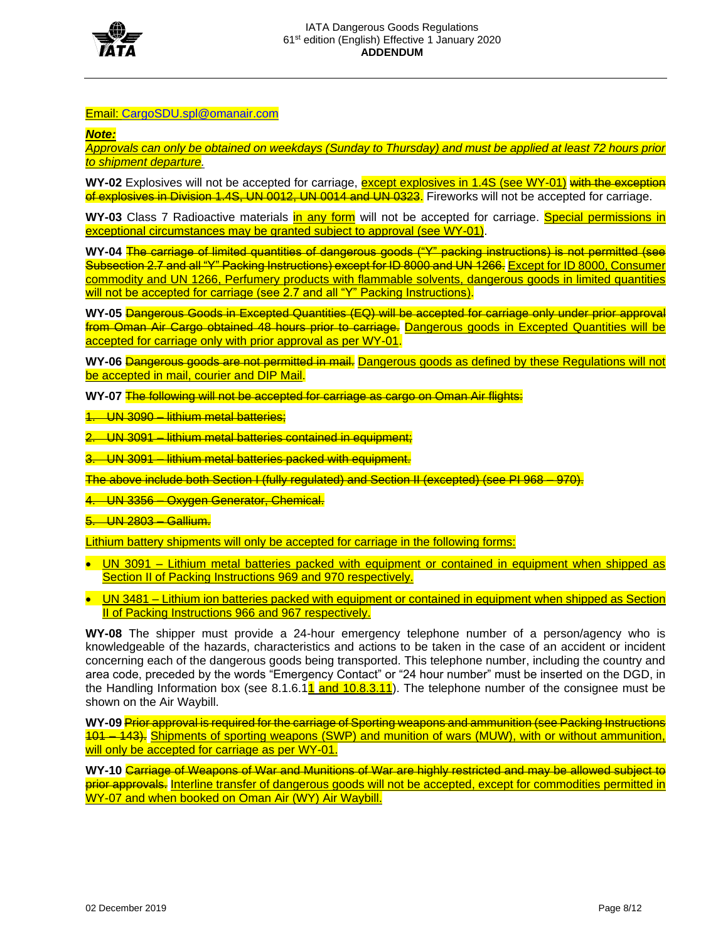

### Email: [CargoSDU.spl@omanair.com](mailto:CargoSDU.spl@omanair.com)

*Note:*

*Approvals can only be obtained on weekdays (Sunday to Thursday) and must be applied at least 72 hours prior to shipment departure.*

WY-02 Explosives will not be accepted for carriage, **except explosives in 1.4S (see WY-01)** with the exception of explosives in Division 1.4S, UN 0012, UN 0014 and UN 0323. Fireworks will not be accepted for carriage.

WY-03 Class 7 Radioactive materials in any form will not be accepted for carriage. **Special permissions in** exceptional circumstances may be granted subject to approval (see WY-01).

**WY-04** The carriage of limited quantities of dangerous goods ("Y" packing instructions) is not permitted (see Subsection 2.7 and all "Y" Packing Instructions) except for ID 8000 and UN 1266. Except for ID 8000, Consumer commodity and UN 1266, Perfumery products with flammable solvents, dangerous goods in limited quantities will not be accepted for carriage (see 2.7 and all "Y" Packing Instructions).

**WY-05** Dangerous Goods in Excepted Quantities (EQ) will be accepted for carriage only under prior approval from Oman Air Cargo obtained 48 hours prior to carriage. Dangerous goods in Excepted Quantities will be accepted for carriage only with prior approval as per WY-01.

WY-06 Dangerous goods are not permitted in mail. Dangerous goods as defined by these Regulations will not be accepted in mail, courier and DIP Mail.

**WY-07** The following will not be accepted for carriage as cargo on Oman Air flights:

1. UN 3090 – lithium metal batteries;

2. UN 3091 – lithium metal batteries contained in equipment;

3. UN 3091 – lithium metal batteries packed with equipment.

The above include both Section I (fully regulated) and Section II (excepted) (see PI 968 – 970).

4. UN 3356 – Oxygen Generator, Chemical.

5. UN 2803 – Gallium.

Lithium battery shipments will only be accepted for carriage in the following forms:

• UN 3091 – Lithium metal batteries packed with equipment or contained in equipment when shipped as Section II of Packing Instructions 969 and 970 respectively.

• UN 3481 – Lithium ion batteries packed with equipment or contained in equipment when shipped as Section II of Packing Instructions 966 and 967 respectively.

**WY-08** The shipper must provide a 24-hour emergency telephone number of a person/agency who is knowledgeable of the hazards, characteristics and actions to be taken in the case of an accident or incident concerning each of the dangerous goods being transported. This telephone number, including the country and area code, preceded by the words "Emergency Contact" or "24 hour number" must be inserted on the DGD, in the Handling Information box (see  $8.1.6.11$  and  $10.8.3.11$ ). The telephone number of the consignee must be shown on the Air Waybill.

**WY-09** Prior approval is required for the carriage of Sporting weapons and ammunition (see Packing Instructions 101 – 143). Shipments of sporting weapons (SWP) and munition of wars (MUW), with or without ammunition, will only be accepted for carriage as per WY-01.

**WY-10** Carriage of Weapons of War and Munitions of War are highly restricted and may be allowed subject to prior approvals. Interline transfer of dangerous goods will not be accepted, except for commodities permitted in WY-07 and when booked on Oman Air (WY) Air Waybill.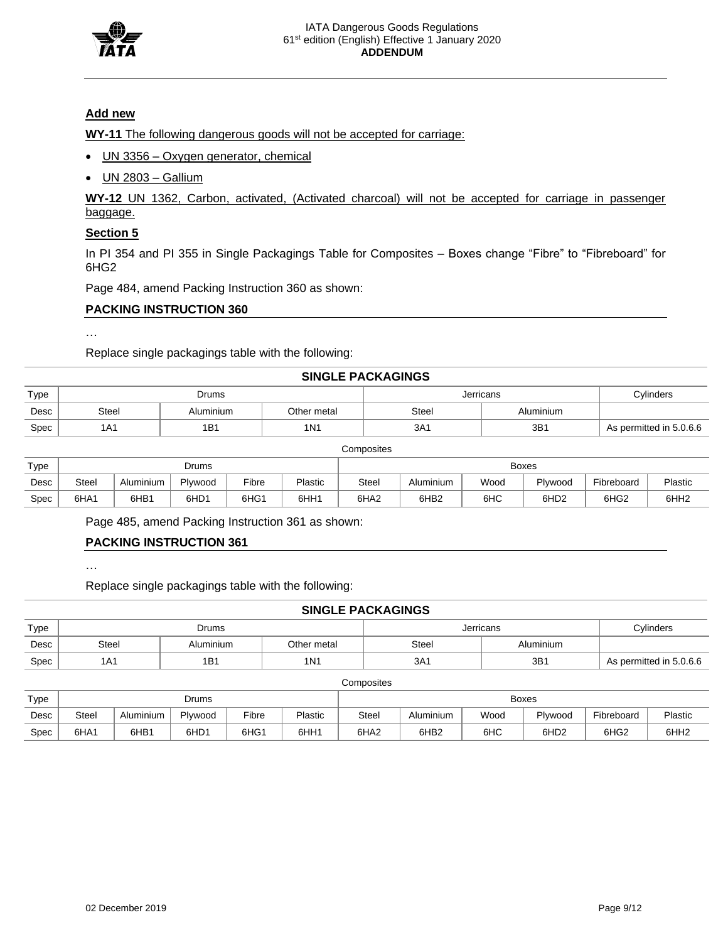

## **Add new**

**WY-11** The following dangerous goods will not be accepted for carriage:

- UN 3356 Oxygen generator, chemical
- UN 2803 Gallium

**WY-12** UN 1362, Carbon, activated, (Activated charcoal) will not be accepted for carriage in passenger baggage.

## **Section 5**

In PI 354 and PI 355 in Single Packagings Table for Composites – Boxes change "Fibre" to "Fibreboard" for 6HG2

Page 484, amend Packing Instruction 360 as shown:

## **PACKING INSTRUCTION 360**

…

…

Replace single packagings table with the following:

### **SINGLE PACKAGINGS**

| Type |       | Drums     |             | Jerricans | Cylinders |                         |
|------|-------|-----------|-------------|-----------|-----------|-------------------------|
| Desc | Steel | Aluminium | Other metal | Steel     | Aluminium |                         |
| Spec | 1A1   | 1B1       | 1N1         | 3A1       | 3B        | As permitted in 5.0.6.6 |

**Composites** 

| Type | Drums                                             |      |      |      |      |                  |                  | <b>Boxes</b> |                  |                  |                  |         |            |         |
|------|---------------------------------------------------|------|------|------|------|------------------|------------------|--------------|------------------|------------------|------------------|---------|------------|---------|
| Desc | Fibre<br>Aluminium<br>Plastic<br>Steel<br>Plywood |      |      |      |      |                  |                  |              | Steel            | Aluminium        | Wood             | Plywood | Fibreboard | Plastic |
| Spec | 6HA1                                              | 6HB1 | 6HD1 | 6HG1 | 6HH1 | 6HA <sub>2</sub> | 6HB <sub>2</sub> | 6НС          | 6HD <sub>2</sub> | 6HG <sub>2</sub> | 6HH <sub>2</sub> |         |            |         |

Page 485, amend Packing Instruction 361 as shown:

# **PACKING INSTRUCTION 361**

Replace single packagings table with the following:

|      | <b>SINGLE PACKAGINGS</b> |           |                  |       |                  |                         |  |  |  |  |  |
|------|--------------------------|-----------|------------------|-------|------------------|-------------------------|--|--|--|--|--|
| Type |                          | Jerricans | Cylinders        |       |                  |                         |  |  |  |  |  |
| Desc | <b>Steel</b>             | Aluminium | Other metal      | Steel | Aluminium        |                         |  |  |  |  |  |
| Spec | 1A <sub>1</sub>          | 1B1       | 1 <sub>N</sub> 1 | 3A1   | 3 <sub>B</sub> 1 | As permitted in 5.0.6.6 |  |  |  |  |  |

**Composites** 

| Type | Drums                                                    |      |      |      |                                                   |                  |                  | <b>Boxes</b> |                  |                  |                  |         |
|------|----------------------------------------------------------|------|------|------|---------------------------------------------------|------------------|------------------|--------------|------------------|------------------|------------------|---------|
| Desc | Plywood<br>Fibre<br>Plastic<br><b>Steel</b><br>Aluminium |      |      |      | Wood<br>Plywood<br>$-\cdot$<br>Steel<br>Aluminium |                  |                  |              |                  |                  | Fibreboard       | Plastic |
| Spec | 6HA1                                                     | 6HB1 | 6HD1 | 6HG1 | 6HH <sub>1</sub>                                  | 6HA <sub>2</sub> | 6HB <sub>2</sub> | 6HC          | 6HD <sub>2</sub> | 6HG <sub>2</sub> | 6HH <sub>2</sub> |         |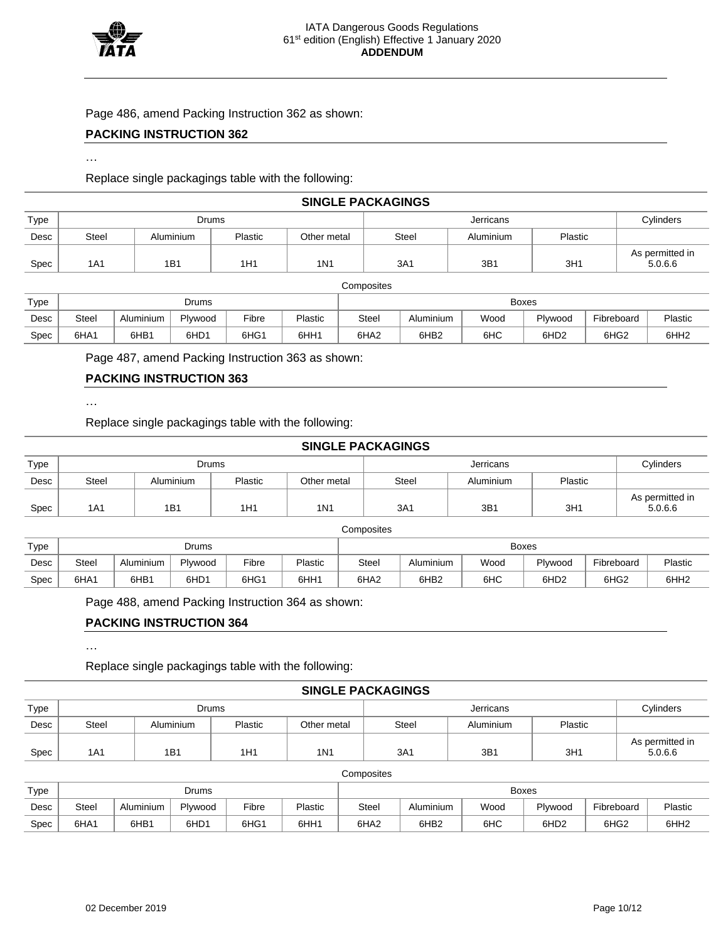

Page 486, amend Packing Instruction 362 as shown:

## **PACKING INSTRUCTION 362**

#### …

Replace single packagings table with the following:

|      | <b>SINGLE PACKAGINGS</b> |           |         |                  |       |           |         |                            |  |  |  |  |
|------|--------------------------|-----------|---------|------------------|-------|-----------|---------|----------------------------|--|--|--|--|
| Type | Jerricans<br>Drums       |           |         |                  |       |           |         |                            |  |  |  |  |
| Desc | Steel                    | Aluminium | Plastic | Other metal      | Steel | Aluminium | Plastic |                            |  |  |  |  |
| Spec | 1A1                      | 1B1       | 1H1     | 1 <sub>N</sub> 1 | 3A1   | 3B1       | 3H1     | As permitted in<br>5.0.6.6 |  |  |  |  |

|      | Composites |           |              |       |         |                  |                  |      |                  |                  |                  |  |
|------|------------|-----------|--------------|-------|---------|------------------|------------------|------|------------------|------------------|------------------|--|
| Type |            |           | <b>Drums</b> |       |         | <b>Boxes</b>     |                  |      |                  |                  |                  |  |
| Desc | Steel      | Aluminium | Plywood      | Fibre | Plastic | <b>Steel</b>     | Aluminium        | Wood | Plywood          | Fibreboard       | Plastic          |  |
| Spec | 6HA1       | 6HB1      | 6HD1         | 6HG1  | 6HH1    | 6HA <sub>2</sub> | 6HB <sub>2</sub> | 6HC  | 6HD <sub>2</sub> | 6HG <sub>2</sub> | 6HH <sub>2</sub> |  |

Page 487, amend Packing Instruction 363 as shown:

## **PACKING INSTRUCTION 363**

…

Replace single packagings table with the following:

|      | <b>SINGLE PACKAGINGS</b> |           |         |             |       |           |         |                            |  |  |  |  |
|------|--------------------------|-----------|---------|-------------|-------|-----------|---------|----------------------------|--|--|--|--|
| Type | Jerricans<br>Drums       |           |         |             |       |           |         |                            |  |  |  |  |
| Desc | Steel                    | Aluminium | Plastic | Other metal | Steel | Aluminium | Plastic |                            |  |  |  |  |
| Spec | 1A1                      | 1B1       | 1H1     | 1N1         | 3A1   | 3B1       | 3H1     | As permitted in<br>5.0.6.6 |  |  |  |  |

| Type | Drums |           |                  |       |         | <b>Boxes</b>     |                  |      |                  |                  |                  |
|------|-------|-----------|------------------|-------|---------|------------------|------------------|------|------------------|------------------|------------------|
| Desc | Steel | Aluminium | Plywood          | Fibre | Plastic | Steel            | Aluminium        | Wood | Plywood          | Fibreboard       | Plastic          |
| Spec | 6HA1  | 6HB1      | 6HD <sub>1</sub> | 6HG1  | 6HH1    | 6HA <sub>2</sub> | 6HB <sub>2</sub> | 6HC  | 6HD <sub>2</sub> | 6HG <sub>2</sub> | 6HH <sub>2</sub> |

Page 488, amend Packing Instruction 364 as shown:

## **PACKING INSTRUCTION 364**

…

Replace single packagings table with the following:

#### **SINGLE PACKAGINGS**

| Type |       |           | Drums   |             |       |         | Cvlinders |                            |
|------|-------|-----------|---------|-------------|-------|---------|-----------|----------------------------|
| Desc | Steel | Aluminium | Plastic | Other metal | Steel | Plastic |           |                            |
| Spec | 1A1   | 1B1       | 1H1     | 1N1         | 3A1   | 3B1     | 3H1       | As permitted in<br>5.0.6.6 |

#### **Composites**

| Type | Drums                                                    |      |      |      |                  | <b>Boxes</b>     |                  |      |                  |                  |                  |
|------|----------------------------------------------------------|------|------|------|------------------|------------------|------------------|------|------------------|------------------|------------------|
| Desc | Fibre<br><b>Plastic</b><br>Plywood<br>Steel<br>Aluminium |      |      |      |                  | Steel            | Aluminium        | Wood | Plywood          | Fibreboard       | Plastic          |
| Spec | 6HA1                                                     | 6HB1 | 6HD1 | 6HG1 | 6HH <sub>1</sub> | 6HA <sub>2</sub> | 6HB <sub>2</sub> | 6HC  | 6HD <sub>2</sub> | 6HG <sub>2</sub> | 6HH <sub>2</sub> |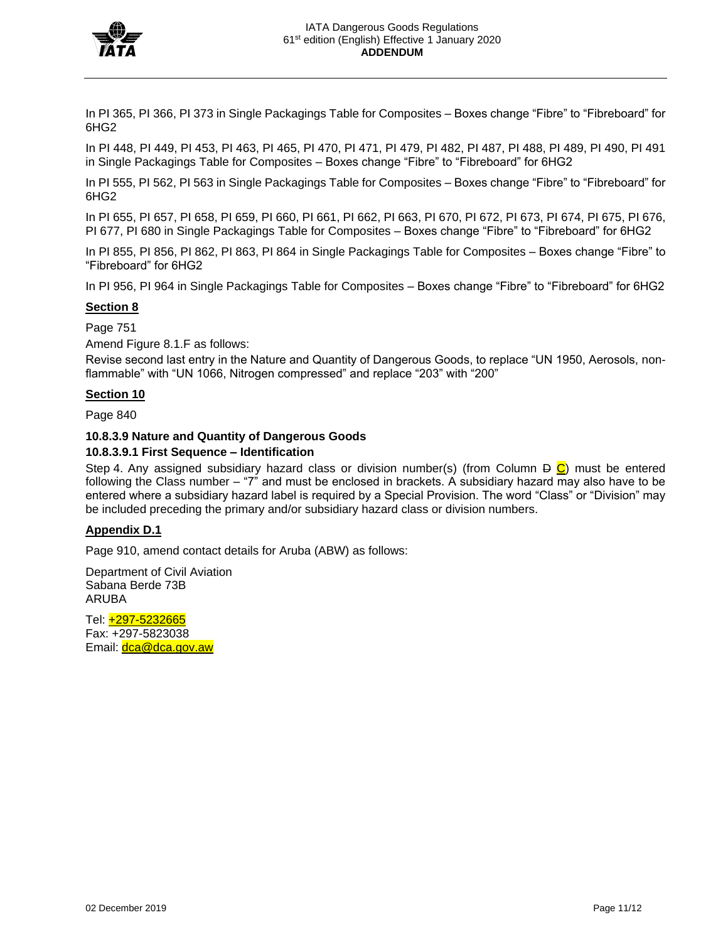

In PI 365, PI 366, PI 373 in Single Packagings Table for Composites – Boxes change "Fibre" to "Fibreboard" for 6HG2

In PI 448, PI 449, PI 453, PI 463, PI 465, PI 470, PI 471, PI 479, PI 482, PI 487, PI 488, PI 489, PI 490, PI 491 in Single Packagings Table for Composites – Boxes change "Fibre" to "Fibreboard" for 6HG2

In PI 555, PI 562, PI 563 in Single Packagings Table for Composites – Boxes change "Fibre" to "Fibreboard" for 6HG2

In PI 655, PI 657, PI 658, PI 659, PI 660, PI 661, PI 662, PI 663, PI 670, PI 672, PI 673, PI 674, PI 675, PI 676, PI 677, PI 680 in Single Packagings Table for Composites – Boxes change "Fibre" to "Fibreboard" for 6HG2

In PI 855, PI 856, PI 862, PI 863, PI 864 in Single Packagings Table for Composites – Boxes change "Fibre" to "Fibreboard" for 6HG2

In PI 956, PI 964 in Single Packagings Table for Composites – Boxes change "Fibre" to "Fibreboard" for 6HG2

## **Section 8**

Page 751

Amend Figure 8.1.F as follows:

Revise second last entry in the Nature and Quantity of Dangerous Goods, to replace "UN 1950, Aerosols, nonflammable" with "UN 1066, Nitrogen compressed" and replace "203" with "200"

## **Section 10**

Page 840

## **10.8.3.9 Nature and Quantity of Dangerous Goods**

## **10.8.3.9.1 First Sequence – Identification**

Step 4. Any assigned subsidiary hazard class or division number(s) (from Column  $\bigoplus$ ) must be entered following the Class number – "7" and must be enclosed in brackets. A subsidiary hazard may also have to be entered where a subsidiary hazard label is required by a Special Provision. The word "Class" or "Division" may be included preceding the primary and/or subsidiary hazard class or division numbers.

## **Appendix D.1**

Page 910, amend contact details for Aruba (ABW) as follows:

Department of Civil Aviation Sabana Berde 73B ARUBA

Tel: +297-5232665 Fax: +297-5823038 Email: **dca@dca.gov.aw**